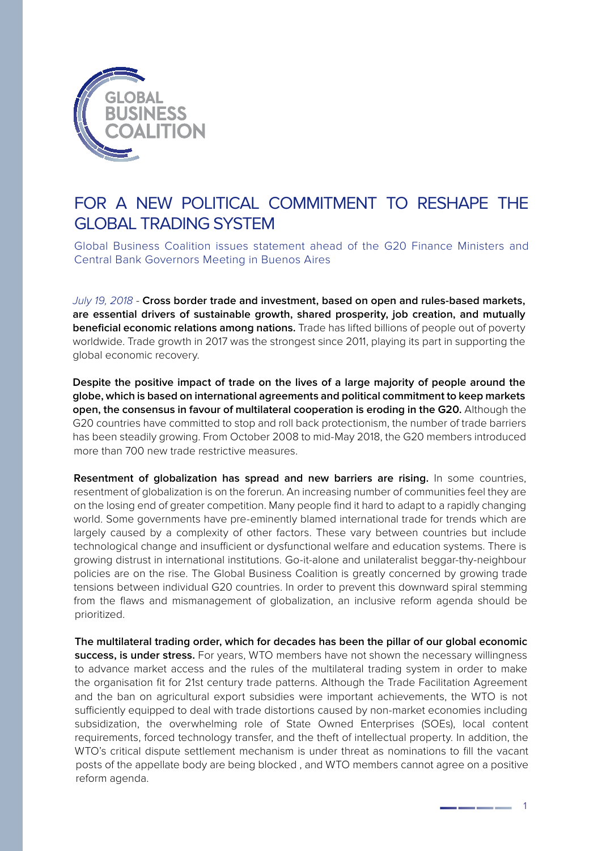

# FOR A NEW POLITICAL COMMITMENT TO RESHAPE THE GLOBAL TRADING SYSTEM

Global Business Coalition issues statement ahead of the G20 Finance Ministers and Central Bank Governors Meeting in Buenos Aires

*July 19, 2018* - **Cross border trade and investment, based on open and rules-based markets, are essential drivers of sustainable growth, shared prosperity, job creation, and mutually beneficial economic relations among nations.** Trade has lifted billions of people out of poverty worldwide. Trade growth in 2017 was the strongest since 2011, playing its part in supporting the global economic recovery.

**Despite the positive impact of trade on the lives of a large majority of people around the globe, which is based on international agreements and political commitment to keep markets open, the consensus in favour of multilateral cooperation is eroding in the G20.** Although the G20 countries have committed to stop and roll back protectionism, the number of trade barriers has been steadily growing. From October 2008 to mid-May 2018, the G20 members introduced more than 700 new trade restrictive measures.

**Resentment of globalization has spread and new barriers are rising.** In some countries, resentment of globalization is on the forerun. An increasing number of communities feel they are on the losing end of greater competition. Many people find it hard to adapt to a rapidly changing world. Some governments have pre-eminently blamed international trade for trends which are largely caused by a complexity of other factors. These vary between countries but include technological change and insufficient or dysfunctional welfare and education systems. There is growing distrust in international institutions. Go-it-alone and unilateralist beggar-thy-neighbour policies are on the rise. The Global Business Coalition is greatly concerned by growing trade tensions between individual G20 countries. In order to prevent this downward spiral stemming from the flaws and mismanagement of globalization, an inclusive reform agenda should be prioritized.

**The multilateral trading order, which for decades has been the pillar of our global economic success, is under stress.** For years, WTO members have not shown the necessary willingness to advance market access and the rules of the multilateral trading system in order to make the organisation fit for 21st century trade patterns. Although the Trade Facilitation Agreement and the ban on agricultural export subsidies were important achievements, the WTO is not sufficiently equipped to deal with trade distortions caused by non-market economies including subsidization, the overwhelming role of State Owned Enterprises (SOEs), local content requirements, forced technology transfer, and the theft of intellectual property. In addition, the WTO's critical dispute settlement mechanism is under threat as nominations to fill the vacant posts of the appellate body are being blocked , and WTO members cannot agree on a positive reform agenda.

------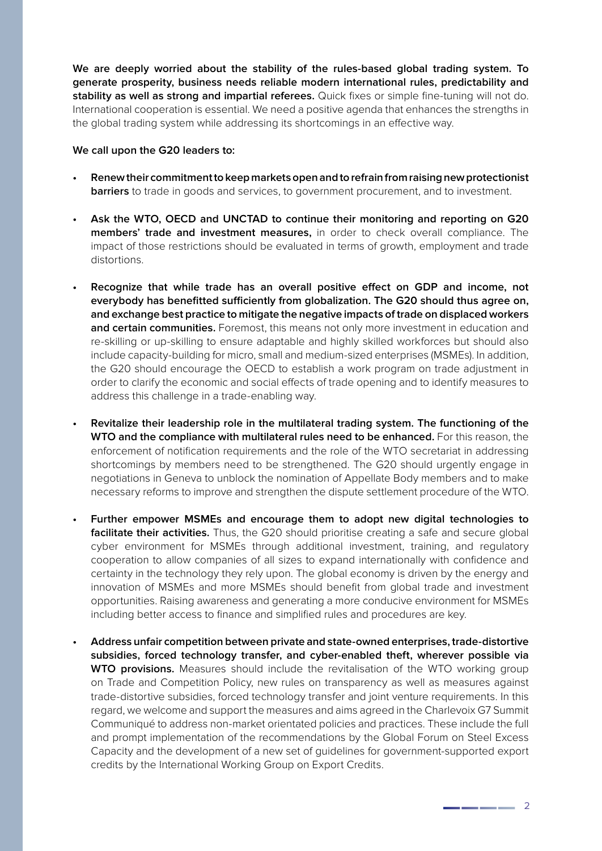**We are deeply worried about the stability of the rules-based global trading system. To generate prosperity, business needs reliable modern international rules, predictability and stability as well as strong and impartial referees.** Quick fixes or simple fine-tuning will not do. International cooperation is essential. We need a positive agenda that enhances the strengths in the global trading system while addressing its shortcomings in an effective way.

## **We call upon the G20 leaders to:**

- **• Renew their commitment to keep markets open and to refrain from raising new protectionist barriers** to trade in goods and services, to government procurement, and to investment.
- **• Ask the WTO, OECD and UNCTAD to continue their monitoring and reporting on G20 members' trade and investment measures,** in order to check overall compliance. The impact of those restrictions should be evaluated in terms of growth, employment and trade distortions.
- Recognize that while trade has an overall positive effect on GDP and income, not **everybody has benefitted sufficiently from globalization. The G20 should thus agree on, and exchange best practice to mitigate the negative impacts of trade on displaced workers and certain communities.** Foremost, this means not only more investment in education and re-skilling or up-skilling to ensure adaptable and highly skilled workforces but should also include capacity-building for micro, small and medium-sized enterprises (MSMEs). In addition, the G20 should encourage the OECD to establish a work program on trade adjustment in order to clarify the economic and social effects of trade opening and to identify measures to address this challenge in a trade-enabling way.
- **• Revitalize their leadership role in the multilateral trading system. The functioning of the WTO and the compliance with multilateral rules need to be enhanced.** For this reason, the enforcement of notification requirements and the role of the WTO secretariat in addressing shortcomings by members need to be strengthened. The G20 should urgently engage in negotiations in Geneva to unblock the nomination of Appellate Body members and to make necessary reforms to improve and strengthen the dispute settlement procedure of the WTO.
- Further empower MSMEs and encourage them to adopt new digital technologies to **facilitate their activities.** Thus, the G20 should prioritise creating a safe and secure global cyber environment for MSMEs through additional investment, training, and regulatory cooperation to allow companies of all sizes to expand internationally with confidence and certainty in the technology they rely upon. The global economy is driven by the energy and innovation of MSMEs and more MSMEs should benefit from global trade and investment opportunities. Raising awareness and generating a more conducive environment for MSMEs including better access to finance and simplified rules and procedures are key.
- **• Address unfair competition between private and state-owned enterprises, trade-distortive subsidies, forced technology transfer, and cyber-enabled theft, wherever possible via WTO provisions.** Measures should include the revitalisation of the WTO working group on Trade and Competition Policy, new rules on transparency as well as measures against trade-distortive subsidies, forced technology transfer and joint venture requirements. In this regard, we welcome and support the measures and aims agreed in the Charlevoix G7 Summit Communiqué to address non-market orientated policies and practices. These include the full and prompt implementation of the recommendations by the Global Forum on Steel Excess Capacity and the development of a new set of guidelines for government-supported export credits by the International Working Group on Export Credits.